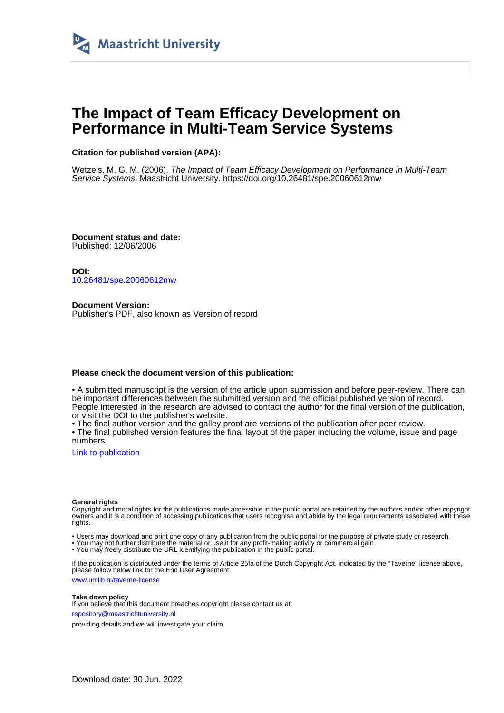

## **The Impact of Team Efficacy Development on Performance in Multi-Team Service Systems**

#### **Citation for published version (APA):**

Wetzels, M. G. M. (2006). The Impact of Team Efficacy Development on Performance in Multi-Team Service Systems. Maastricht University.<https://doi.org/10.26481/spe.20060612mw>

**Document status and date:** Published: 12/06/2006

**DOI:** [10.26481/spe.20060612mw](https://doi.org/10.26481/spe.20060612mw)

**Document Version:** Publisher's PDF, also known as Version of record

#### **Please check the document version of this publication:**

• A submitted manuscript is the version of the article upon submission and before peer-review. There can be important differences between the submitted version and the official published version of record. People interested in the research are advised to contact the author for the final version of the publication, or visit the DOI to the publisher's website.

• The final author version and the galley proof are versions of the publication after peer review.

• The final published version features the final layout of the paper including the volume, issue and page numbers.

[Link to publication](https://cris.maastrichtuniversity.nl/en/publications/36c60ae5-dcb6-48c8-939a-e6183dfeda4e)

#### **General rights**

Copyright and moral rights for the publications made accessible in the public portal are retained by the authors and/or other copyright owners and it is a condition of accessing publications that users recognise and abide by the legal requirements associated with these rights.

• Users may download and print one copy of any publication from the public portal for the purpose of private study or research.

• You may not further distribute the material or use it for any profit-making activity or commercial gain

• You may freely distribute the URL identifying the publication in the public portal.

If the publication is distributed under the terms of Article 25fa of the Dutch Copyright Act, indicated by the "Taverne" license above, please follow below link for the End User Agreement:

www.umlib.nl/taverne-license

#### **Take down policy**

If you believe that this document breaches copyright please contact us at: repository@maastrichtuniversity.nl

providing details and we will investigate your claim.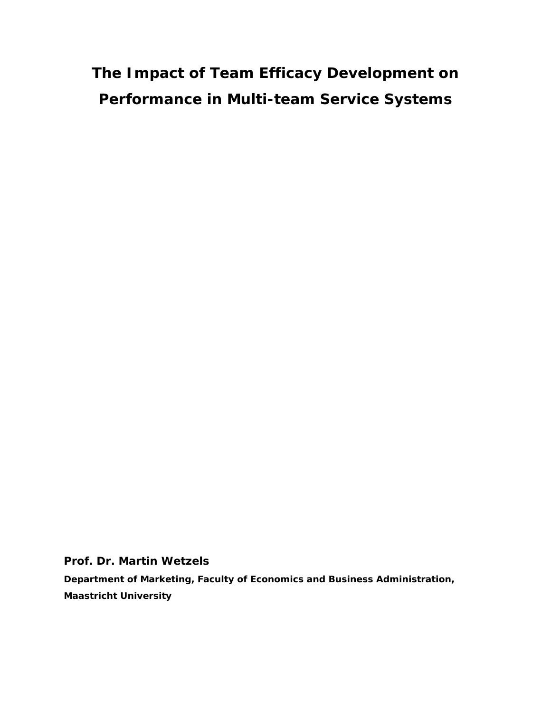# **The Impact of Team Efficacy Development on Performance in Multi-team Service Systems**

**Prof. Dr. Martin Wetzels**

**Department of Marketing, Faculty of Economics and Business Administration, Maastricht University**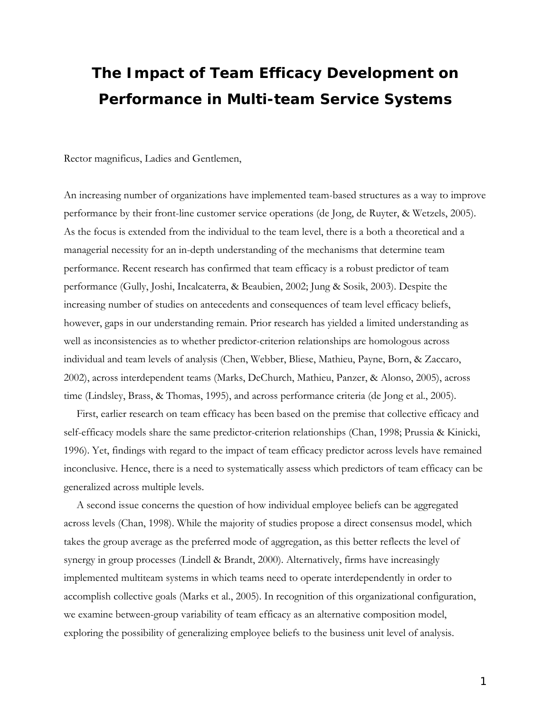## **The Impact of Team Efficacy Development on Performance in Multi-team Service Systems**

Rector magnificus, Ladies and Gentlemen,

An increasing number of organizations have implemented team-based structures as a way to improve performance by their front-line customer service operations (de Jong, de Ruyter, & Wetzels, 2005). As the focus is extended from the individual to the team level, there is a both a theoretical and a managerial necessity for an in-depth understanding of the mechanisms that determine team performance. Recent research has confirmed that team efficacy is a robust predictor of team performance (Gully, Joshi, Incalcaterra, & Beaubien, 2002; Jung & Sosik, 2003). Despite the increasing number of studies on antecedents and consequences of team level efficacy beliefs, however, gaps in our understanding remain. Prior research has yielded a limited understanding as well as inconsistencies as to whether predictor-criterion relationships are homologous across individual and team levels of analysis (Chen, Webber, Bliese, Mathieu, Payne, Born, & Zaccaro, 2002), across interdependent teams (Marks, DeChurch, Mathieu, Panzer, & Alonso, 2005), across time (Lindsley, Brass, & Thomas, 1995), and across performance criteria (de Jong et al., 2005).

First, earlier research on team efficacy has been based on the premise that collective efficacy and self-efficacy models share the same predictor-criterion relationships (Chan, 1998; Prussia & Kinicki, 1996). Yet, findings with regard to the impact of team efficacy predictor across levels have remained inconclusive. Hence, there is a need to systematically assess which predictors of team efficacy can be generalized across multiple levels.

A second issue concerns the question of how individual employee beliefs can be aggregated across levels (Chan, 1998). While the majority of studies propose a direct consensus model, which takes the group average as the preferred mode of aggregation, as this better reflects the level of synergy in group processes (Lindell & Brandt, 2000). Alternatively, firms have increasingly implemented multiteam systems in which teams need to operate interdependently in order to accomplish collective goals (Marks et al., 2005). In recognition of this organizational configuration, we examine between-group variability of team efficacy as an alternative composition model, exploring the possibility of generalizing employee beliefs to the business unit level of analysis.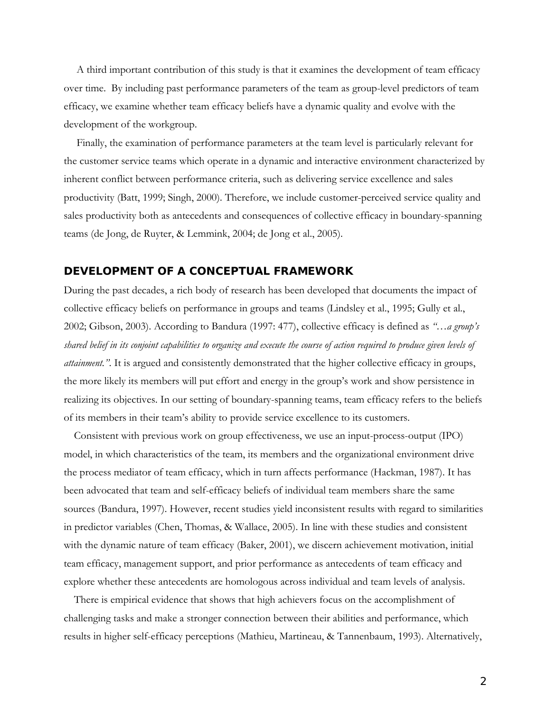A third important contribution of this study is that it examines the development of team efficacy over time. By including past performance parameters of the team as group-level predictors of team efficacy, we examine whether team efficacy beliefs have a dynamic quality and evolve with the development of the workgroup.

Finally, the examination of performance parameters at the team level is particularly relevant for the customer service teams which operate in a dynamic and interactive environment characterized by inherent conflict between performance criteria, such as delivering service excellence and sales productivity (Batt, 1999; Singh, 2000). Therefore, we include customer-perceived service quality and sales productivity both as antecedents and consequences of collective efficacy in boundary-spanning teams (de Jong, de Ruyter, & Lemmink, 2004; de Jong et al., 2005).

#### **DEVELOPMENT OF A CONCEPTUAL FRAMEWORK**

During the past decades, a rich body of research has been developed that documents the impact of collective efficacy beliefs on performance in groups and teams (Lindsley et al., 1995; Gully et al., 2002; Gibson, 2003). According to Bandura (1997: 477), collective efficacy is defined as *"…a group's shared belief in its conjoint capabilities to organize and execute the course of action required to produce given levels of attainment."*. It is argued and consistently demonstrated that the higher collective efficacy in groups, the more likely its members will put effort and energy in the group's work and show persistence in realizing its objectives. In our setting of boundary-spanning teams, team efficacy refers to the beliefs of its members in their team's ability to provide service excellence to its customers.

Consistent with previous work on group effectiveness, we use an input-process-output (IPO) model, in which characteristics of the team, its members and the organizational environment drive the process mediator of team efficacy, which in turn affects performance (Hackman, 1987). It has been advocated that team and self-efficacy beliefs of individual team members share the same sources (Bandura, 1997). However, recent studies yield inconsistent results with regard to similarities in predictor variables (Chen, Thomas, & Wallace, 2005). In line with these studies and consistent with the dynamic nature of team efficacy (Baker, 2001), we discern achievement motivation, initial team efficacy, management support, and prior performance as antecedents of team efficacy and explore whether these antecedents are homologous across individual and team levels of analysis.

There is empirical evidence that shows that high achievers focus on the accomplishment of challenging tasks and make a stronger connection between their abilities and performance, which results in higher self-efficacy perceptions (Mathieu, Martineau, & Tannenbaum, 1993). Alternatively,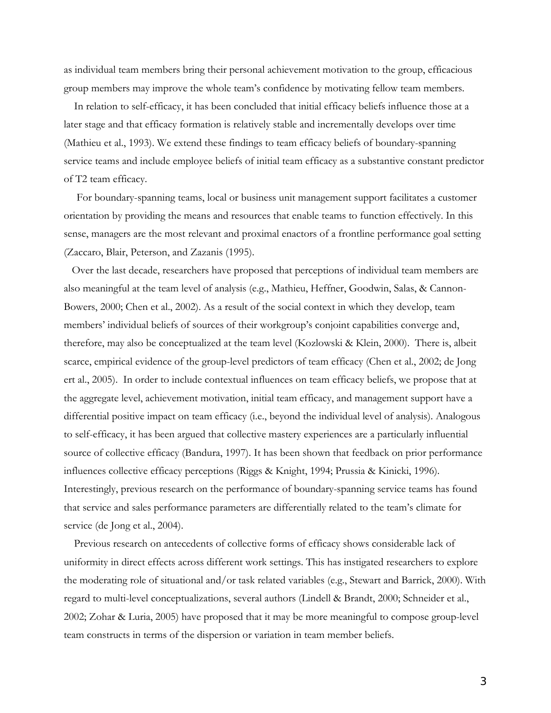as individual team members bring their personal achievement motivation to the group, efficacious group members may improve the whole team's confidence by motivating fellow team members.

In relation to self-efficacy, it has been concluded that initial efficacy beliefs influence those at a later stage and that efficacy formation is relatively stable and incrementally develops over time (Mathieu et al., 1993). We extend these findings to team efficacy beliefs of boundary-spanning service teams and include employee beliefs of initial team efficacy as a substantive constant predictor of T2 team efficacy.

For boundary-spanning teams, local or business unit management support facilitates a customer orientation by providing the means and resources that enable teams to function effectively. In this sense, managers are the most relevant and proximal enactors of a frontline performance goal setting (Zaccaro, Blair, Peterson, and Zazanis (1995).

Over the last decade, researchers have proposed that perceptions of individual team members are also meaningful at the team level of analysis (e.g., Mathieu, Heffner, Goodwin, Salas, & Cannon-Bowers, 2000; Chen et al., 2002). As a result of the social context in which they develop, team members' individual beliefs of sources of their workgroup's conjoint capabilities converge and, therefore, may also be conceptualized at the team level (Kozlowski & Klein, 2000). There is, albeit scarce, empirical evidence of the group-level predictors of team efficacy (Chen et al., 2002; de Jong ert al., 2005). In order to include contextual influences on team efficacy beliefs, we propose that at the aggregate level, achievement motivation, initial team efficacy, and management support have a differential positive impact on team efficacy (i.e., beyond the individual level of analysis). Analogous to self-efficacy, it has been argued that collective mastery experiences are a particularly influential source of collective efficacy (Bandura, 1997). It has been shown that feedback on prior performance influences collective efficacy perceptions (Riggs & Knight, 1994; Prussia & Kinicki, 1996). Interestingly, previous research on the performance of boundary-spanning service teams has found that service and sales performance parameters are differentially related to the team's climate for service (de Jong et al., 2004).

Previous research on antecedents of collective forms of efficacy shows considerable lack of uniformity in direct effects across different work settings. This has instigated researchers to explore the moderating role of situational and/or task related variables (e.g., Stewart and Barrick, 2000). With regard to multi-level conceptualizations, several authors (Lindell & Brandt, 2000; Schneider et al., 2002; Zohar & Luria, 2005) have proposed that it may be more meaningful to compose group-level team constructs in terms of the dispersion or variation in team member beliefs.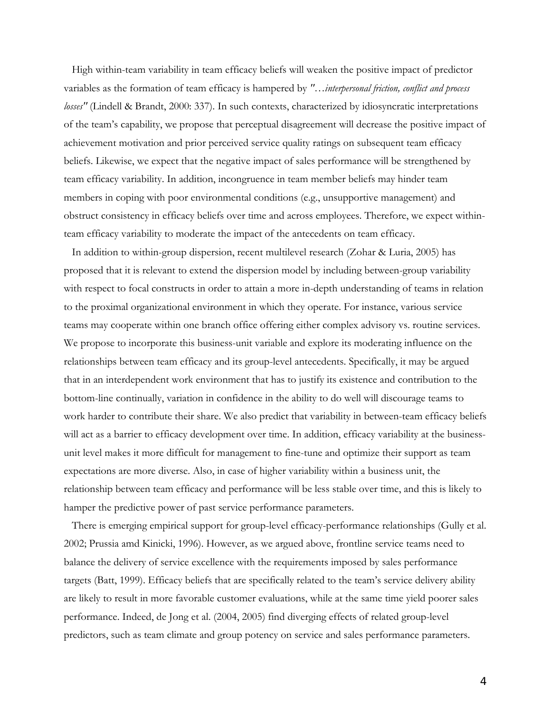High within-team variability in team efficacy beliefs will weaken the positive impact of predictor variables as the formation of team efficacy is hampered by *"…interpersonal friction, conflict and process losses"* (Lindell & Brandt, 2000: 337). In such contexts, characterized by idiosyncratic interpretations of the team's capability, we propose that perceptual disagreement will decrease the positive impact of achievement motivation and prior perceived service quality ratings on subsequent team efficacy beliefs. Likewise, we expect that the negative impact of sales performance will be strengthened by team efficacy variability. In addition, incongruence in team member beliefs may hinder team members in coping with poor environmental conditions (e.g., unsupportive management) and obstruct consistency in efficacy beliefs over time and across employees. Therefore, we expect withinteam efficacy variability to moderate the impact of the antecedents on team efficacy.

In addition to within-group dispersion, recent multilevel research (Zohar & Luria, 2005) has proposed that it is relevant to extend the dispersion model by including between-group variability with respect to focal constructs in order to attain a more in-depth understanding of teams in relation to the proximal organizational environment in which they operate. For instance, various service teams may cooperate within one branch office offering either complex advisory vs. routine services. We propose to incorporate this business-unit variable and explore its moderating influence on the relationships between team efficacy and its group-level antecedents. Specifically, it may be argued that in an interdependent work environment that has to justify its existence and contribution to the bottom-line continually, variation in confidence in the ability to do well will discourage teams to work harder to contribute their share. We also predict that variability in between-team efficacy beliefs will act as a barrier to efficacy development over time. In addition, efficacy variability at the businessunit level makes it more difficult for management to fine-tune and optimize their support as team expectations are more diverse. Also, in case of higher variability within a business unit, the relationship between team efficacy and performance will be less stable over time, and this is likely to hamper the predictive power of past service performance parameters.

There is emerging empirical support for group-level efficacy-performance relationships (Gully et al. 2002; Prussia amd Kinicki, 1996). However, as we argued above, frontline service teams need to balance the delivery of service excellence with the requirements imposed by sales performance targets (Batt, 1999). Efficacy beliefs that are specifically related to the team's service delivery ability are likely to result in more favorable customer evaluations, while at the same time yield poorer sales performance. Indeed, de Jong et al. (2004, 2005) find diverging effects of related group-level predictors, such as team climate and group potency on service and sales performance parameters.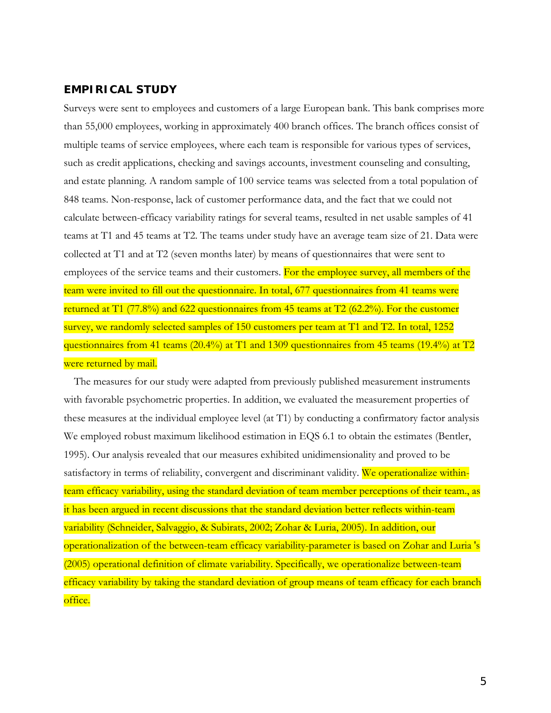## **EMPIRICAL STUDY**

Surveys were sent to employees and customers of a large European bank. This bank comprises more than 55,000 employees, working in approximately 400 branch offices. The branch offices consist of multiple teams of service employees, where each team is responsible for various types of services, such as credit applications, checking and savings accounts, investment counseling and consulting, and estate planning. A random sample of 100 service teams was selected from a total population of 848 teams. Non-response, lack of customer performance data, and the fact that we could not calculate between-efficacy variability ratings for several teams, resulted in net usable samples of 41 teams at T1 and 45 teams at T2. The teams under study have an average team size of 21. Data were collected at T1 and at T2 (seven months later) by means of questionnaires that were sent to employees of the service teams and their customers. For the employee survey, all members of the team were invited to fill out the questionnaire. In total, 677 questionnaires from 41 teams were returned at T1 (77.8%) and 622 questionnaires from 45 teams at T2 (62.2%). For the customer survey, we randomly selected samples of 150 customers per team at T1 and T2. In total, 1252 questionnaires from 41 teams (20.4%) at T1 and 1309 questionnaires from 45 teams (19.4%) at T2 were returned by mail.

The measures for our study were adapted from previously published measurement instruments with favorable psychometric properties. In addition, we evaluated the measurement properties of these measures at the individual employee level (at T1) by conducting a confirmatory factor analysis We employed robust maximum likelihood estimation in EQS 6.1 to obtain the estimates (Bentler, 1995). Our analysis revealed that our measures exhibited unidimensionality and proved to be satisfactory in terms of reliability, convergent and discriminant validity. We operationalize withinteam efficacy variability, using the standard deviation of team member perceptions of their team., as it has been argued in recent discussions that the standard deviation better reflects within-team variability (Schneider, Salvaggio, & Subirats, 2002; Zohar & Luria, 2005). In addition, our operationalization of the between-team efficacy variability-parameter is based on Zohar and Luria 's (2005) operational definition of climate variability. Specifically, we operationalize between-team efficacy variability by taking the standard deviation of group means of team efficacy for each branch office.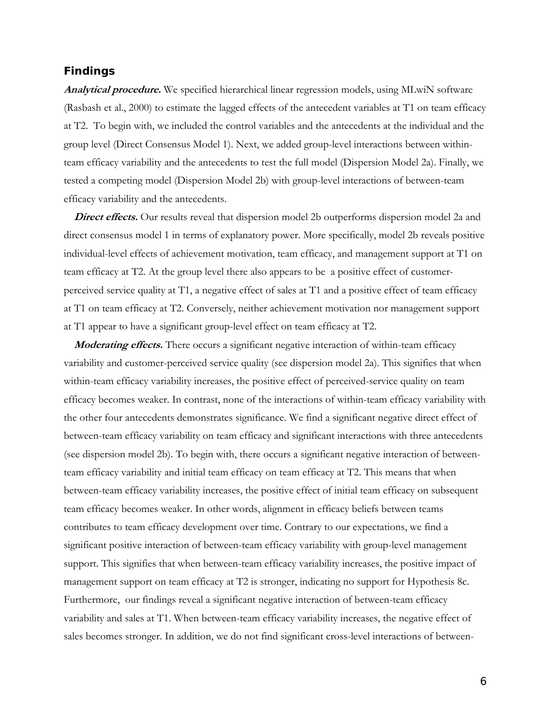#### **Findings**

**Analytical procedure.** We specified hierarchical linear regression models, using MLwiN software (Rasbash et al., 2000) to estimate the lagged effects of the antecedent variables at T1 on team efficacy at T2. To begin with, we included the control variables and the antecedents at the individual and the group level (Direct Consensus Model 1). Next, we added group-level interactions between withinteam efficacy variability and the antecedents to test the full model (Dispersion Model 2a). Finally, we tested a competing model (Dispersion Model 2b) with group-level interactions of between-team efficacy variability and the antecedents.

**Direct effects.** Our results reveal that dispersion model 2b outperforms dispersion model 2a and direct consensus model 1 in terms of explanatory power. More specifically, model 2b reveals positive individual-level effects of achievement motivation, team efficacy, and management support at T1 on team efficacy at T2. At the group level there also appears to be a positive effect of customerperceived service quality at T1, a negative effect of sales at T1 and a positive effect of team efficacy at T1 on team efficacy at T2. Conversely, neither achievement motivation nor management support at T1 appear to have a significant group-level effect on team efficacy at T2.

*Moderating effects.* There occurs a significant negative interaction of within-team efficacy variability and customer-perceived service quality (see dispersion model 2a). This signifies that when within-team efficacy variability increases, the positive effect of perceived-service quality on team efficacy becomes weaker. In contrast, none of the interactions of within-team efficacy variability with the other four antecedents demonstrates significance. We find a significant negative direct effect of between-team efficacy variability on team efficacy and significant interactions with three antecedents (see dispersion model 2b). To begin with, there occurs a significant negative interaction of betweenteam efficacy variability and initial team efficacy on team efficacy at T2. This means that when between-team efficacy variability increases, the positive effect of initial team efficacy on subsequent team efficacy becomes weaker. In other words, alignment in efficacy beliefs between teams contributes to team efficacy development over time. Contrary to our expectations, we find a significant positive interaction of between-team efficacy variability with group-level management support. This signifies that when between-team efficacy variability increases, the positive impact of management support on team efficacy at T2 is stronger, indicating no support for Hypothesis 8c. Furthermore, our findings reveal a significant negative interaction of between-team efficacy variability and sales at T1. When between-team efficacy variability increases, the negative effect of sales becomes stronger. In addition, we do not find significant cross-level interactions of between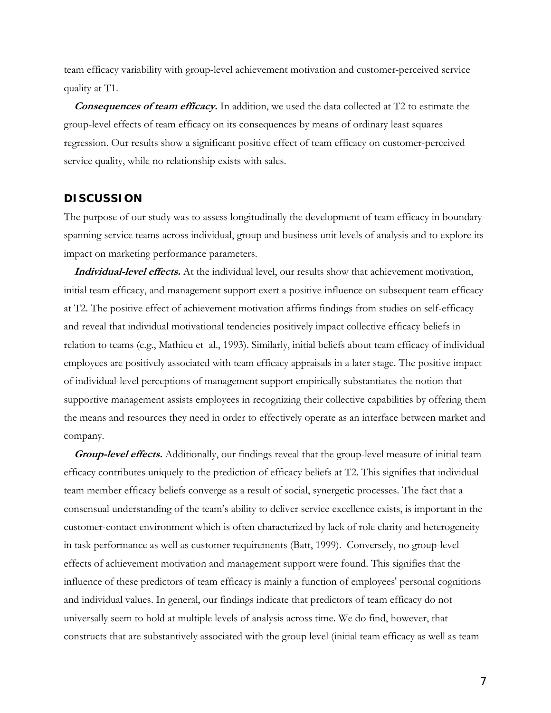team efficacy variability with group-level achievement motivation and customer-perceived service quality at T1.

**Consequences of team efficacy.** In addition, we used the data collected at T2 to estimate the group-level effects of team efficacy on its consequences by means of ordinary least squares regression. Our results show a significant positive effect of team efficacy on customer-perceived service quality, while no relationship exists with sales.

### **DISCUSSION**

The purpose of our study was to assess longitudinally the development of team efficacy in boundaryspanning service teams across individual, group and business unit levels of analysis and to explore its impact on marketing performance parameters.

**Individual-level effects.** At the individual level, our results show that achievement motivation, initial team efficacy, and management support exert a positive influence on subsequent team efficacy at T2. The positive effect of achievement motivation affirms findings from studies on self-efficacy and reveal that individual motivational tendencies positively impact collective efficacy beliefs in relation to teams (e.g., Mathieu et al., 1993). Similarly, initial beliefs about team efficacy of individual employees are positively associated with team efficacy appraisals in a later stage. The positive impact of individual-level perceptions of management support empirically substantiates the notion that supportive management assists employees in recognizing their collective capabilities by offering them the means and resources they need in order to effectively operate as an interface between market and company.

**Group-level effects.** Additionally, our findings reveal that the group-level measure of initial team efficacy contributes uniquely to the prediction of efficacy beliefs at T2. This signifies that individual team member efficacy beliefs converge as a result of social, synergetic processes. The fact that a consensual understanding of the team's ability to deliver service excellence exists, is important in the customer-contact environment which is often characterized by lack of role clarity and heterogeneity in task performance as well as customer requirements (Batt, 1999). Conversely, no group-level effects of achievement motivation and management support were found. This signifies that the influence of these predictors of team efficacy is mainly a function of employees' personal cognitions and individual values. In general, our findings indicate that predictors of team efficacy do not universally seem to hold at multiple levels of analysis across time. We do find, however, that constructs that are substantively associated with the group level (initial team efficacy as well as team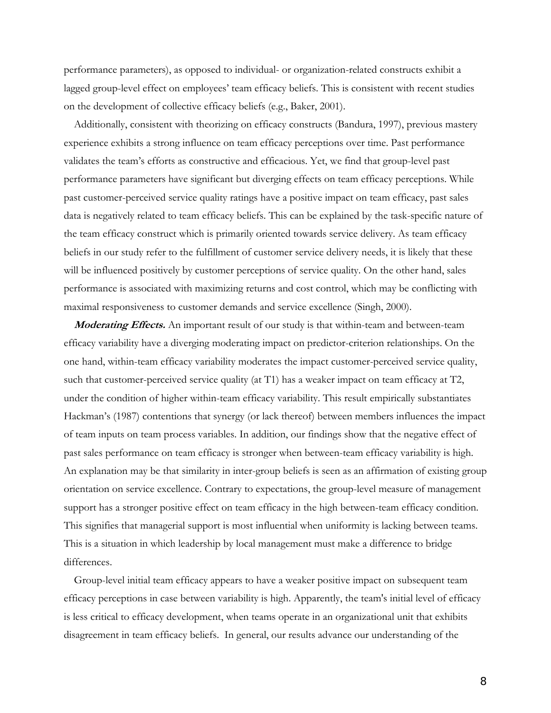performance parameters), as opposed to individual- or organization-related constructs exhibit a lagged group-level effect on employees' team efficacy beliefs. This is consistent with recent studies on the development of collective efficacy beliefs (e.g., Baker, 2001).

Additionally, consistent with theorizing on efficacy constructs (Bandura, 1997), previous mastery experience exhibits a strong influence on team efficacy perceptions over time. Past performance validates the team's efforts as constructive and efficacious. Yet, we find that group-level past performance parameters have significant but diverging effects on team efficacy perceptions. While past customer-perceived service quality ratings have a positive impact on team efficacy, past sales data is negatively related to team efficacy beliefs. This can be explained by the task-specific nature of the team efficacy construct which is primarily oriented towards service delivery. As team efficacy beliefs in our study refer to the fulfillment of customer service delivery needs, it is likely that these will be influenced positively by customer perceptions of service quality. On the other hand, sales performance is associated with maximizing returns and cost control, which may be conflicting with maximal responsiveness to customer demands and service excellence (Singh, 2000).

**Moderating Effects.** An important result of our study is that within-team and between-team efficacy variability have a diverging moderating impact on predictor-criterion relationships. On the one hand, within-team efficacy variability moderates the impact customer-perceived service quality, such that customer-perceived service quality (at T1) has a weaker impact on team efficacy at T2, under the condition of higher within-team efficacy variability. This result empirically substantiates Hackman's (1987) contentions that synergy (or lack thereof) between members influences the impact of team inputs on team process variables. In addition, our findings show that the negative effect of past sales performance on team efficacy is stronger when between-team efficacy variability is high. An explanation may be that similarity in inter-group beliefs is seen as an affirmation of existing group orientation on service excellence. Contrary to expectations, the group-level measure of management support has a stronger positive effect on team efficacy in the high between-team efficacy condition. This signifies that managerial support is most influential when uniformity is lacking between teams. This is a situation in which leadership by local management must make a difference to bridge differences.

Group-level initial team efficacy appears to have a weaker positive impact on subsequent team efficacy perceptions in case between variability is high. Apparently, the team's initial level of efficacy is less critical to efficacy development, when teams operate in an organizational unit that exhibits disagreement in team efficacy beliefs. In general, our results advance our understanding of the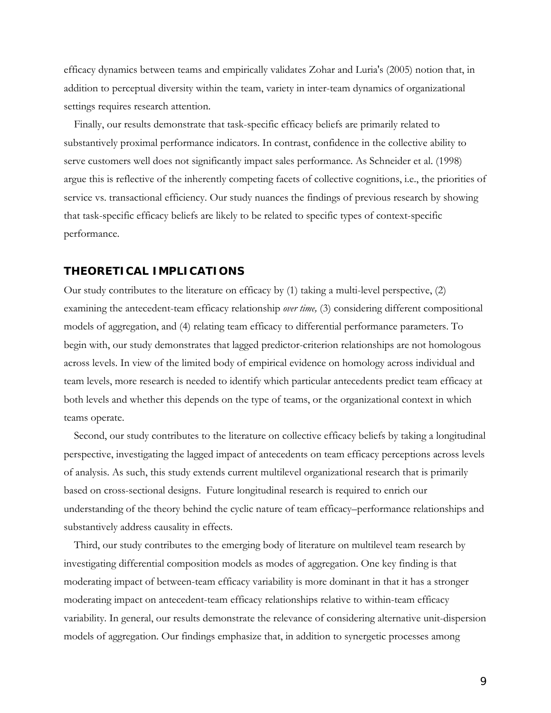efficacy dynamics between teams and empirically validates Zohar and Luria's (2005) notion that, in addition to perceptual diversity within the team, variety in inter-team dynamics of organizational settings requires research attention.

Finally, our results demonstrate that task-specific efficacy beliefs are primarily related to substantively proximal performance indicators. In contrast, confidence in the collective ability to serve customers well does not significantly impact sales performance. As Schneider et al. (1998) argue this is reflective of the inherently competing facets of collective cognitions, i.e., the priorities of service vs. transactional efficiency. Our study nuances the findings of previous research by showing that task-specific efficacy beliefs are likely to be related to specific types of context-specific performance.

### **THEORETICAL IMPLICATIONS**

Our study contributes to the literature on efficacy by (1) taking a multi-level perspective, (2) examining the antecedent-team efficacy relationship *over time,* (3) considering different compositional models of aggregation, and (4) relating team efficacy to differential performance parameters. To begin with, our study demonstrates that lagged predictor-criterion relationships are not homologous across levels. In view of the limited body of empirical evidence on homology across individual and team levels, more research is needed to identify which particular antecedents predict team efficacy at both levels and whether this depends on the type of teams, or the organizational context in which teams operate.

Second, our study contributes to the literature on collective efficacy beliefs by taking a longitudinal perspective, investigating the lagged impact of antecedents on team efficacy perceptions across levels of analysis. As such, this study extends current multilevel organizational research that is primarily based on cross-sectional designs. Future longitudinal research is required to enrich our understanding of the theory behind the cyclic nature of team efficacy–performance relationships and substantively address causality in effects.

Third, our study contributes to the emerging body of literature on multilevel team research by investigating differential composition models as modes of aggregation. One key finding is that moderating impact of between-team efficacy variability is more dominant in that it has a stronger moderating impact on antecedent-team efficacy relationships relative to within-team efficacy variability. In general, our results demonstrate the relevance of considering alternative unit-dispersion models of aggregation. Our findings emphasize that, in addition to synergetic processes among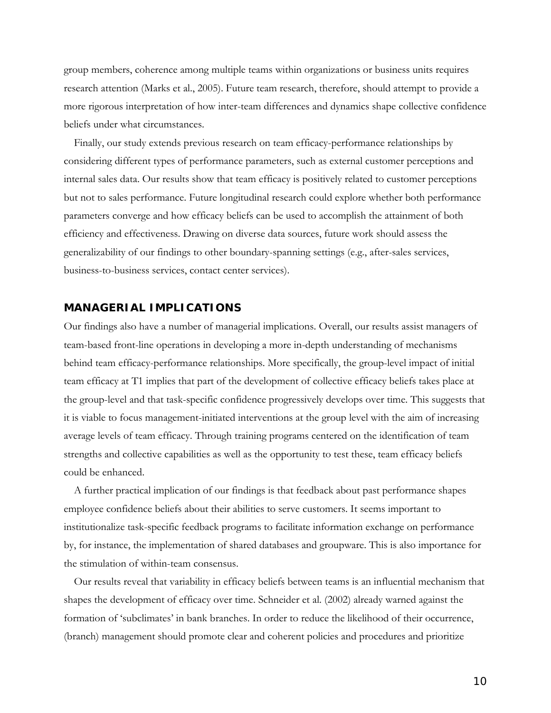group members, coherence among multiple teams within organizations or business units requires research attention (Marks et al., 2005). Future team research, therefore, should attempt to provide a more rigorous interpretation of how inter-team differences and dynamics shape collective confidence beliefs under what circumstances.

Finally, our study extends previous research on team efficacy-performance relationships by considering different types of performance parameters, such as external customer perceptions and internal sales data. Our results show that team efficacy is positively related to customer perceptions but not to sales performance. Future longitudinal research could explore whether both performance parameters converge and how efficacy beliefs can be used to accomplish the attainment of both efficiency and effectiveness. Drawing on diverse data sources, future work should assess the generalizability of our findings to other boundary-spanning settings (e.g., after-sales services, business-to-business services, contact center services).

### **MANAGERIAL IMPLICATIONS**

Our findings also have a number of managerial implications. Overall, our results assist managers of team-based front-line operations in developing a more in-depth understanding of mechanisms behind team efficacy-performance relationships. More specifically, the group-level impact of initial team efficacy at T1 implies that part of the development of collective efficacy beliefs takes place at the group-level and that task-specific confidence progressively develops over time. This suggests that it is viable to focus management-initiated interventions at the group level with the aim of increasing average levels of team efficacy. Through training programs centered on the identification of team strengths and collective capabilities as well as the opportunity to test these, team efficacy beliefs could be enhanced.

A further practical implication of our findings is that feedback about past performance shapes employee confidence beliefs about their abilities to serve customers. It seems important to institutionalize task-specific feedback programs to facilitate information exchange on performance by, for instance, the implementation of shared databases and groupware. This is also importance for the stimulation of within-team consensus.

Our results reveal that variability in efficacy beliefs between teams is an influential mechanism that shapes the development of efficacy over time. Schneider et al. (2002) already warned against the formation of 'subclimates' in bank branches. In order to reduce the likelihood of their occurrence, (branch) management should promote clear and coherent policies and procedures and prioritize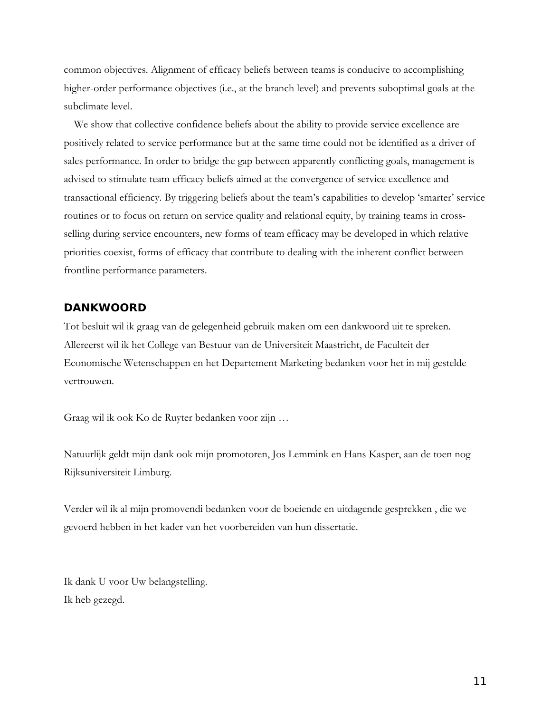common objectives. Alignment of efficacy beliefs between teams is conducive to accomplishing higher-order performance objectives (i.e., at the branch level) and prevents suboptimal goals at the subclimate level.

We show that collective confidence beliefs about the ability to provide service excellence are positively related to service performance but at the same time could not be identified as a driver of sales performance. In order to bridge the gap between apparently conflicting goals, management is advised to stimulate team efficacy beliefs aimed at the convergence of service excellence and transactional efficiency. By triggering beliefs about the team's capabilities to develop 'smarter' service routines or to focus on return on service quality and relational equity, by training teams in crossselling during service encounters, new forms of team efficacy may be developed in which relative priorities coexist, forms of efficacy that contribute to dealing with the inherent conflict between frontline performance parameters.

## **DANKWOORD**

Tot besluit wil ik graag van de gelegenheid gebruik maken om een dankwoord uit te spreken. Allereerst wil ik het College van Bestuur van de Universiteit Maastricht, de Faculteit der Economische Wetenschappen en het Departement Marketing bedanken voor het in mij gestelde vertrouwen.

Graag wil ik ook Ko de Ruyter bedanken voor zijn …

Natuurlijk geldt mijn dank ook mijn promotoren, Jos Lemmink en Hans Kasper, aan de toen nog Rijksuniversiteit Limburg.

Verder wil ik al mijn promovendi bedanken voor de boeiende en uitdagende gesprekken , die we gevoerd hebben in het kader van het voorbereiden van hun dissertatie.

Ik dank U voor Uw belangstelling. Ik heb gezegd.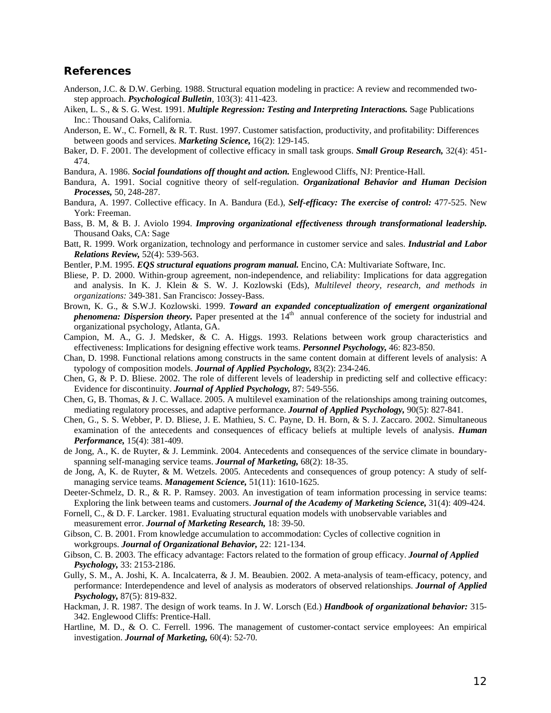#### **References**

- Anderson, J.C. & D.W. Gerbing. 1988. Structural equation modeling in practice: A review and recommended twostep approach. *Psychological Bulletin*, 103(3): 411-423.
- Aiken, L. S., & S. G. West. 1991. *Multiple Regression: Testing and Interpreting Interactions.* Sage Publications Inc.: Thousand Oaks, California.
- Anderson, E. W., C. Fornell, & R. T. Rust. 1997. Customer satisfaction, productivity, and profitability: Differences between goods and services. *Marketing Science,* 16(2): 129-145.
- Baker, D. F. 2001. The development of collective efficacy in small task groups. *Small Group Research,* 32(4): 451- 474.
- Bandura, A. 1986. *Social foundations off thought and action.* Englewood Cliffs, NJ: Prentice-Hall.
- Bandura, A. 1991. Social cognitive theory of self-regulation. *Organizational Behavior and Human Decision Processes,* 50, 248-287.
- Bandura, A. 1997. Collective efficacy. In A. Bandura (Ed.), *Self-efficacy: The exercise of control:* 477-525. New York: Freeman.
- Bass, B. M, & B. J. Aviolo 1994. *Improving organizational effectiveness through transformational leadership.* Thousand Oaks, CA: Sage
- Batt, R. 1999. Work organization, technology and performance in customer service and sales. *Industrial and Labor Relations Review,* 52(4): 539-563.
- Bentler, P.M. 1995. *EQS structural equations program manual.* Encino, CA: Multivariate Software, Inc.
- Bliese, P. D. 2000. Within-group agreement, non-independence, and reliability: Implications for data aggregation and analysis. In K. J. Klein & S. W. J. Kozlowski (Eds), *Multilevel theory, research, and methods in organizations:* 349-381. San Francisco: Jossey-Bass.
- Brown, K. G., & S.W.J. Kozlowski. 1999. *Toward an expanded conceptualization of emergent organizational phenomena: Dispersion theory.* Paper presented at the 14<sup>th</sup> annual conference of the society for industrial and organizational psychology, Atlanta, GA.
- Campion, M. A., G. J. Medsker, & C. A. Higgs. 1993. Relations between work group characteristics and effectiveness: Implications for designing effective work teams. *Personnel Psychology,* 46: 823-850.
- Chan, D. 1998. Functional relations among constructs in the same content domain at different levels of analysis: A typology of composition models. *Journal of Applied Psychology,* 83(2): 234-246.
- Chen, G, & P. D. Bliese. 2002. The role of different levels of leadership in predicting self and collective efficacy: Evidence for discontinuity. *Journal of Applied Psychology,* 87: 549-556.
- Chen, G, B. Thomas, & J. C. Wallace. 2005. A multilevel examination of the relationships among training outcomes, mediating regulatory processes, and adaptive performance. *Journal of Applied Psychology,* 90(5): 827-841.
- Chen, G., S. S. Webber, P. D. Bliese, J. E. Mathieu, S. C. Payne, D. H. Born, & S. J. Zaccaro. 2002. Simultaneous examination of the antecedents and consequences of efficacy beliefs at multiple levels of analysis. *Human Performance,* 15(4): 381-409.
- de Jong, A., K. de Ruyter, & J. Lemmink. 2004. Antecedents and consequences of the service climate in boundaryspanning self-managing service teams. *Journal of Marketing,* 68(2): 18-35.
- de Jong, A, K. de Ruyter, & M. Wetzels. 2005. Antecedents and consequences of group potency: A study of selfmanaging service teams. *Management Science,* 51(11): 1610-1625.
- Deeter-Schmelz, D. R., & R. P. Ramsey. 2003. An investigation of team information processing in service teams: Exploring the link between teams and customers. *Journal of the Academy of Marketing Science,* 31(4): 409-424.
- Fornell, C., & D. F. Larcker. 1981. Evaluating structural equation models with unobservable variables and
- measurement error. *Journal of Marketing Research,* 18: 39-50.
- Gibson, C. B. 2001. From knowledge accumulation to accommodation: Cycles of collective cognition in workgroups. *Journal of Organizational Behavior,* 22: 121-134.
- Gibson, C. B. 2003. The efficacy advantage: Factors related to the formation of group efficacy. *Journal of Applied Psychology,* 33: 2153-2186.
- Gully, S. M., A. Joshi, K. A. Incalcaterra, & J. M. Beaubien. 2002. A meta-analysis of team-efficacy, potency, and performance: Interdependence and level of analysis as moderators of observed relationships. *Journal of Applied Psychology,* 87(5): 819-832.
- Hackman, J. R. 1987. The design of work teams. In J. W. Lorsch (Ed.) *Handbook of organizational behavior:* 315- 342. Englewood Cliffs: Prentice-Hall.
- Hartline, M. D., & O. C. Ferrell. 1996. The management of customer-contact service employees: An empirical investigation. *Journal of Marketing,* 60(4): 52-70.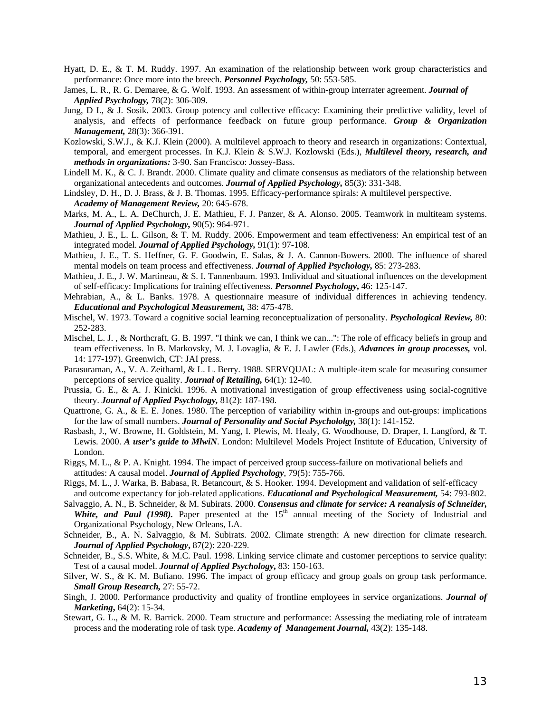- Hyatt, D. E., & T. M. Ruddy. 1997. An examination of the relationship between work group characteristics and performance: Once more into the breech. *Personnel Psychology,* 50: 553-585.
- James, L. R., R. G. Demaree, & G. Wolf. 1993. An assessment of within-group interrater agreement. *Journal of Applied Psychology,* 78(2): 306-309.
- Jung, D I., & J. Sosik. 2003. Group potency and collective efficacy: Examining their predictive validity, level of analysis, and effects of performance feedback on future group performance. *Group & Organization Management,* 28(3): 366-391.
- Kozlowski, S.W.J., & K.J. Klein (2000). A multilevel approach to theory and research in organizations: Contextual, temporal, and emergent processes. In K.J. Klein & S.W.J. Kozlowski (Eds.), *Multilevel theory, research, and methods in organizations:* 3-90. San Francisco: Jossey-Bass.
- Lindell M. K., & C. J. Brandt. 2000. Climate quality and climate consensus as mediators of the relationship between organizational antecedents and outcomes. *Journal of Applied Psychology,* 85(3): 331-348.
- Lindsley, D. H., D. J. Brass, & J. B. Thomas. 1995. Efficacy-performance spirals: A multilevel perspective. *Academy of Management Review,* 20: 645-678.
- Marks, M. A., L. A. DeChurch, J. E. Mathieu, F. J. Panzer, & A. Alonso. 2005. Teamwork in multiteam systems. *Journal of Applied Psychology,* 90(5): 964-971.
- Mathieu, J. E., L. L. Gilson, & T. M. Ruddy. 2006. Empowerment and team effectiveness: An empirical test of an integrated model. *Journal of Applied Psychology,* 91(1): 97-108.
- Mathieu, J. E., T. S. Heffner, G. F. Goodwin, E. Salas, & J. A. Cannon-Bowers. 2000. The influence of shared mental models on team process and effectiveness. *Journal of Applied Psychology,* 85: 273-283.
- Mathieu, J. E., J. W. Martineau, & S. I. Tannenbaum. 1993. Individual and situational influences on the development of self-efficacy: Implications for training effectiveness. *Personnel Psychology***,** 46: 125-147.
- Mehrabian, A., & L. Banks. 1978. A questionnaire measure of individual differences in achieving tendency. *Educational and Psychological Measurement,* 38: 475-478.
- Mischel, W. 1973. Toward a cognitive social learning reconceptualization of personality. *Psychological Review,* 80: 252-283.
- Mischel, L. J. , & Northcraft, G. B. 1997. "I think we can, I think we can...": The role of efficacy beliefs in group and team effectiveness. In B. Markovsky, M. J. Lovaglia, & E. J. Lawler (Eds.), *Advances in group processes,* vol. 14: 177-197). Greenwich, CT: JAI press.
- Parasuraman, A., V. A. Zeithaml, & L. L. Berry. 1988. SERVQUAL: A multiple-item scale for measuring consumer perceptions of service quality. *Journal of Retailing,* 64(1): 12-40.
- Prussia, G. E., & A. J. Kinicki. 1996. A motivational investigation of group effectiveness using social-cognitive theory. *Journal of Applied Psychology,* 81(2): 187-198.
- Quattrone, G. A., & E. E. Jones. 1980. The perception of variability within in-groups and out-groups: implications for the law of small numbers. *Journal of Personality and Social Psychololgy,* 38(1): 141-152.
- Rasbash, J., W. Browne, H. Goldstein, M. Yang, I. Plewis, M. Healy, G. Woodhouse, D. Draper, I. Langford, & T. Lewis. 2000. *A user's guide to MlwiN*. London: Multilevel Models Project Institute of Education, University of London.
- Riggs, M. L., & P. A. Knight. 1994. The impact of perceived group success-failure on motivational beliefs and attitudes: A causal model. *Journal of Applied Psychology*, 79(5): 755-766.
- Riggs, M. L., J. Warka, B. Babasa, R. Betancourt, & S. Hooker. 1994. Development and validation of self-efficacy and outcome expectancy for job-related applications. *Educational and Psychological Measurement,* 54: 793-802.
- Salvaggio, A. N., B. Schneider, & M. Subirats. 2000. *Consensus and climate for service: A reanalysis of Schneider,*  **White, and Paul (1998).** Paper presented at the  $15<sup>th</sup>$  annual meeting of the Society of Industrial and Organizational Psychology, New Orleans, LA.
- Schneider, B., A. N. Salvaggio, & M. Subirats. 2002. Climate strength: A new direction for climate research. *Journal of Applied Psychology***,** 87(2): 220-229.
- Schneider, B., S.S. White, & M.C. Paul. 1998. Linking service climate and customer perceptions to service quality: Test of a causal model. *Journal of Applied Psychology***,** 83: 150-163.
- Silver, W. S., & K. M. Bufiano. 1996. The impact of group efficacy and group goals on group task performance. *Small Group Research,* 27: 55-72.
- Singh, J. 2000. Performance productivity and quality of frontline employees in service organizations. *Journal of Marketing***,** 64(2): 15-34.
- Stewart, G. L., & M. R. Barrick. 2000. Team structure and performance: Assessing the mediating role of intrateam process and the moderating role of task type. *Academy of Management Journal,* 43(2): 135-148.